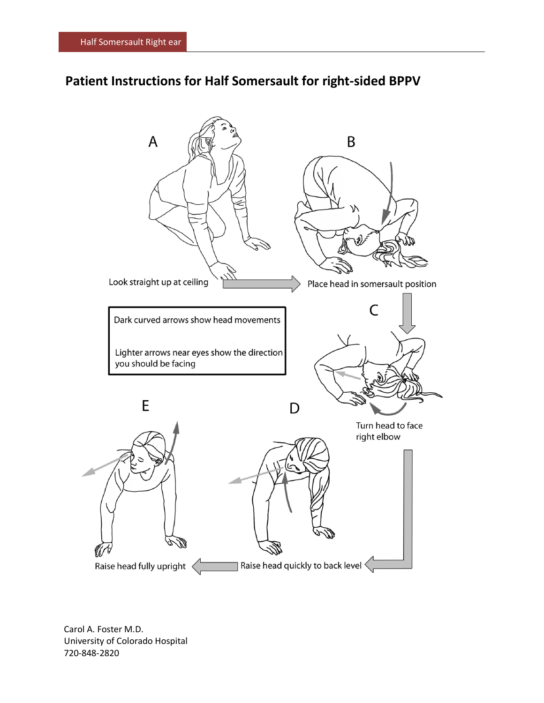## **Patient Instructions for Half Somersault for right-sided BPPV**



Carol A. Foster M.D. University of Colorado Hospital 720-848-2820